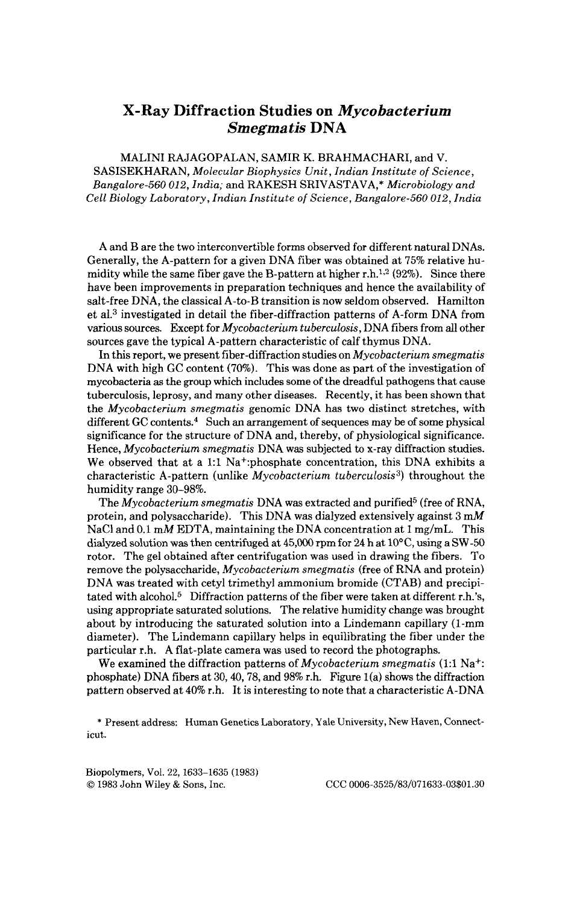## **X-Ray Diffraction Studies on** *Mycobacterium Smegmatis* **DNA**

MALINI RAJAGOPALAN, SAMIR K. BRAHMACHARI, and V. SASISEKHARAN, *Molecular Biophysics Unit, Indian Institute of Science, Bangalore-560 012, India;* and RAKESH SRIVASTAVA,\* *Microbiology and Cell Biology Laboratory, Indian Institute of Science, Bangalore-560 012, India* 

A and B are the two interconvertible forms observed for different natural DNAs. Generally, the A-pattern for a given DNA fiber was obtained at 75% relative humidity while the same fiber gave the B-pattern at higher r.h.<sup>1,2</sup> (92%). Since there have been improvements in preparation techniques and hence the availability of salt-free DNA, the classical A-to-B transition is now seldom observed. Hamilton et al.3 investigated in detail the fiber-diffraction patterns of A-form DNA from various sources. Except for *Mycobacterium tuberculosis,* DNA fibers from all other sources gave the typical A-pattern characteristic of calf thymus DNA.

In this report, we present fiber-diffraction studies on *Mycobacterium smegmatis*  DNA with high GC content (70%). This was done as part of the investigation of mycobacteria **as** the group which includes some of the dreadful pathogens that cause tuberculosis, leprosy, and many other diseases. Recently, it has been shown that the *Mycobacterium smegmatis* genomic DNA has two distinct stretches, with different GC contents. $4$  Such an arrangement of sequences may be of some physical significance for the structure of DNA and, thereby, of physiological significance. Hence, *Mycobacterium smegmatis* DNA was subjected **to** x-ray diffraction studies. We observed that at a 1:1 Na<sup>+</sup>:phosphate concentration, this DNA exhibits a characteristic A-pattern (unlike *Mycobacterium tuberculosis3)* throughout the humidity range 30-98%.

The *Mycobacterium smegmatis* DNA **was** extracted and purified5 (free of RNA, protein, and polysaccharide). This DNA was dialyzed extensively against 3 mM NaCl and 0.1 mM EDTA, maintaining the DNA concentration at 1 mg/mL. This dialyzed solution was then centrifuged at 45,000 rpm for 24 h at 10<sup>o</sup>C, using a SW-50 rotor. The gel obtained after centrifugation was used in drawing the fibers. To remove the polysaccharide, *Mycobacterium smegmatis* (free **of** RNA and protein) DNA was treated with cetyl trimethyl ammonium bromide (CTAB) and precipitated with alcohol.<sup>5</sup> Diffraction patterns of the fiber were taken at different r.h.'s, using appropriate saturated solutions. The relative humidity change was brought about by introducing the saturated solution into a Lindemann capillary (1-mm diameter). The Lindemann capillary helps in equilibrating the fiber under the particular r.h. A flat-plate camera was used to record the photographs.

We examined the diffraction patterns of *Mycobacterium smegmatis* (1:l Na+: phosphate) DNA fibers at 30, 40, 78, and  $98\%$  r.h. Figure 1(a) shows the diffraction pattern observed at 40% r.h. It is interesting to note that a characteristic A-DNA

\* Present address: Human Genetics Laboratory, Yale University, New Haven, Connecticut.

Biopolymers, Vol. 22, 1633-1635 (1983) *0* 1983 John Wiley & Sons, Inc. CCC 0006-3525/83/071633-03\$01.30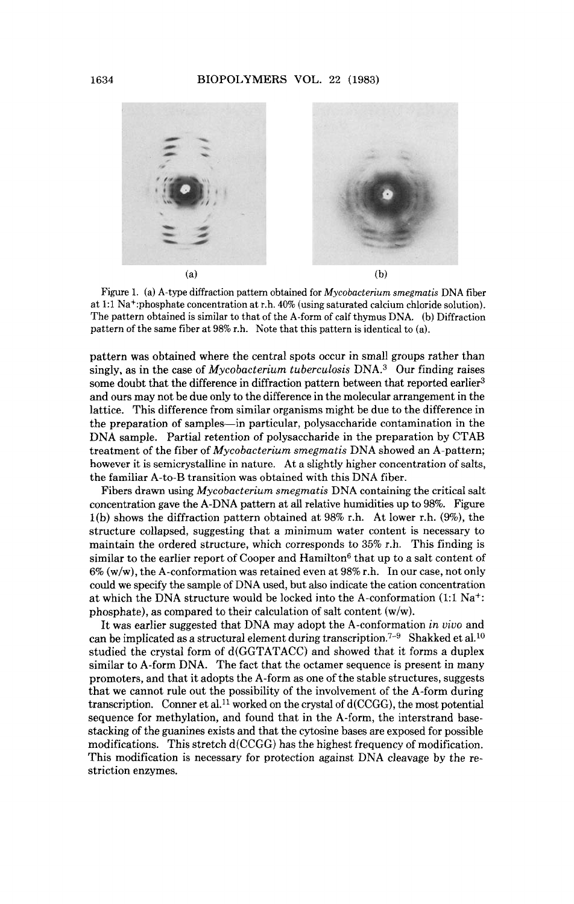

Figure 1. (a) A-type diffraction pattern obtained for Mycobacterium smegmatis DNA fiber at **1:l** Na+:phosphate concentration at r.h. **40%** (using saturated calcium chloride solution). The pattern obtained is similar to that of the A-form of calf thymus DNA. (b) Diffraction pattern of the same fiber at 98% r.h. Note that this pattern is identical to (a).

pattern was obtained where the central spots occur in small groups rather than singly, as in the case of Mycobacterium tuberculosis  $DNA<sup>3</sup>$  Our finding raises some doubt that the difference in diffraction pattern between that reported earlier<sup>3</sup> and ours may not be due only to the difference in the molecular arrangement in the lattice. This difference from similar organisms might be due to the difference in the preparation of samples-in particular, polysaccharide contamination in the DNA sample. Partial retention of polysaccharide in the preparation by CTAB treatment of the fiber of Mycobacterium smegmatis DNA showed an A-pattern; however it is semicrystalline in nature. At a slightly higher concentration of salts, the familiar A-to-B transition was obtained with this DNA fiber.

Fibers drawn using Mycobacterium smegmatis DNA containing the critical salt concentration gave the A-DNA pattern at all relative humidities up to 98%. Figure  $1(b)$  shows the diffraction pattern obtained at 98% r.h. At lower r.h. (9%), the structure collapsed, suggesting that a minimum water content is necessary to maintain the ordered structure, which corresponds to 35% r.h. This finding is similar to the earlier report of Cooper and Hamilton<sup>6</sup> that up to a salt content of  $6\%$  (w/w), the A-conformation was retained even at  $98\%$  r.h. In our case, not only could we specify the sample of DNA used, but also indicate the cation concentration at which the DNA structure would be locked into the A-conformation (1:l Na+: phosphate), as compared to their calculation of salt content (w/w).

It was earlier suggested that DNA may adopt the A-conformation in *vivo* and can be implicated as a structural element during transcription.<sup>7-9</sup> Shakked et al.<sup>10</sup> studied the crystal form of d(GGTATACC) and showed that it forms a duplex similar to A-form DNA. The fact that the octamer sequence is present in many promoters, and that it adopts the A-form as one of the stable structures, suggests that we cannot rule out the possibility of the involvement of the A-form during transcription. Conner et al.<sup>11</sup> worked on the crystal of  $d(CCGG)$ , the most potential sequence for methylation, and found that in the A-form, the interstrand basestacking of the guanines exists and that the cytosine bases are exposed for possible modifications. This stretch d(CCGG) has the highest frequency of modification. This modification is necessary for protection against DNA cleavage by the restriction enzymes.